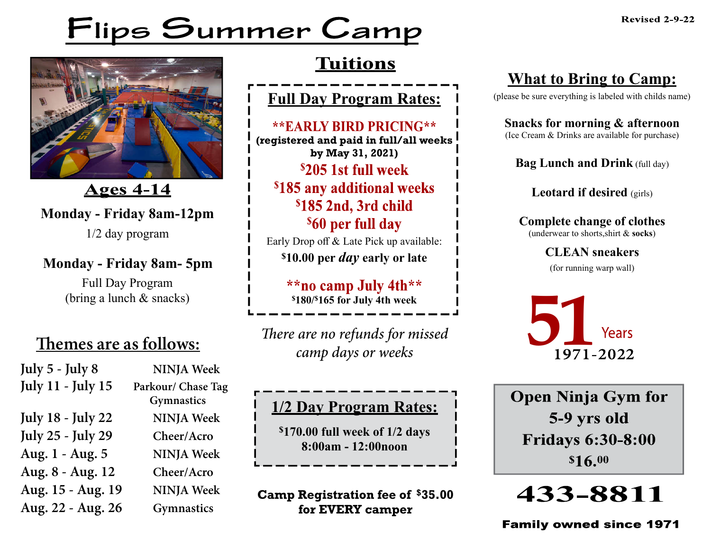# Flips Summer Camp



<u>Ages 4-14</u>

**Monday - Friday 8am-12pm**

1/2 day program

#### **Monday - Friday 8am- 5pm**

Full Day Program (bring a lunch & snacks)

| July 5 - July 8          | <b>NINJA Week</b>  |
|--------------------------|--------------------|
| <b>July 11 - July 15</b> | Parkour/ Chase Tag |
|                          | Gymnastics         |
| <b>July 18 - July 22</b> | <b>NINJA</b> Week  |
| <b>July 25 - July 29</b> | Cheer/Acro         |
| Aug. 1 - Aug. 5          | <b>NINJA Week</b>  |
| Aug. 8 - Aug. 12         | Cheer/Acro         |
| Aug. 15 - Aug. 19        | <b>NINJA Week</b>  |
| Aug. 22 - Aug. 26        | <b>Gymnastics</b>  |

### **Tuitions**

**Full Day Program Rates:**

**\*\*EARLY BIRD PRICING\*\* (registered and paid in full/all weeks by May 31, 2021)** \$205 1st full week \$185 any additional weeks \$185 2nd, 3rd child <sup>\$</sup>60 per full day

Early Drop off & Late Pick up available: **\$10.00 per** *day* **early or late**

> \*\*no camp July 4th\*\* **\$180/\$165 for July 4th week**

**Themes are as follows:** *There are no refunds for missed camp days or weeks*

#### **1/2 Day Program Rates:**

**\$170.00 full week of 1/2 days 8:00am - 12:00noon**

**Camp Registration fee of \$35.00 for EVERY camper**

#### **What to Bring to Camp:**

(please be sure everything is labeled with childs name)

**Snacks for morning & afternoon** (Ice Cream & Drinks are available for purchase)

**Bag Lunch and Drink** (full day)

**Leotard if desired** (girls)

**Complete change of clothes** (underwear to shorts,shirt & **socks**)

> **CLEAN sneakers** (for running warp wall)



**Open Ninja Gym for** 5-9 yrs old **Fridays 6:30-8:00** \$16.00

## 433-8811

**Family owned since 1971**